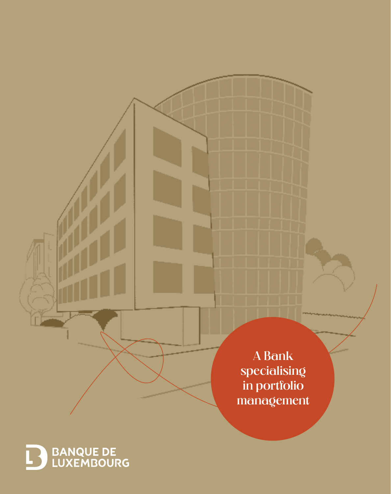A Bank specialising in portfolio management

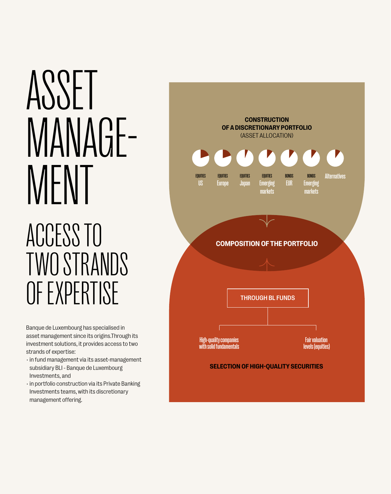# ASSET MANAGE-<br>MENT

## ACCESS TO TWO STRANDS OF EXPERTISE

Banque de Luxembourg has specialised in asset management since its origins.Through its investment solutions, it provides access to two strands of expertise:

- in fund management via its asset-management subsidiary BLI - Banque de Luxembourg Investments, and
- in portfolio construction via its Private Banking Investments teams, with its discretionary management offering.

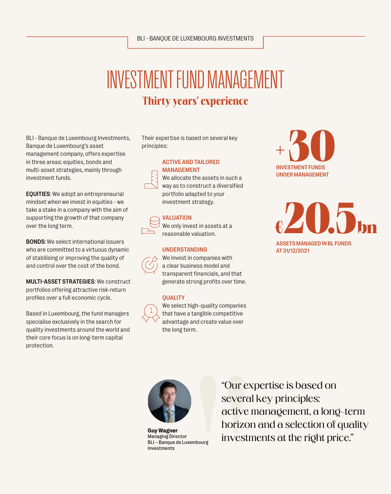## INVESTMENT FUND MANAGEMENT Thirty years' experience

BLI - Banque de Luxembourg Investments, Banque de Luxembourg's asset management company, offers expertise in three areas: equities, bonds and multi-asset strategies, mainly through investment funds.

EQUITIES: We adopt an entrepreneurial mindset when we invest in equities - we take a stake in a company with the aim of supporting the growth of that company over the long term.

BONDS: We select international issuers who are committed to a virtuous dynamic of stabilising or improving the quality of and control over the cost of the bond.

MULTI-ASSET STRATEGIES: We construct portfolios offering attractive risk-return profiles over a full economic cycle.

Based in Luxembourg, the fund managers specialise exclusively in the search for quality investments around the world and their core focus is on long-term capital protection.

Their expertise is based on several key principles:

#### ACTIVE AND TAILORED MANAGEMENT



 We allocate the assets in such a way as to construct a diversified portfolio adapted to your investment strategy.

#### VALUATION



 We only invest in assets at a reasonable valuation.

#### UNDERSTANDING



 We invest in companies with a clear business model and transparent financials, and that generate strong profits over time.

#### **OUALITY**



 We select high-quality companies that have a tangible competitive advantage and create value over the long term.



 $\epsilon$ **20.5**bn ASSETS MANAGED IN BL FUNDS AT 31/12/2021



**Guy Wagner** Managing Director BLI – Banque de Luxembourg Investments

"Our expertise is based on several key principles: active management, a long-term horizon and a selection of quality investments at the right price."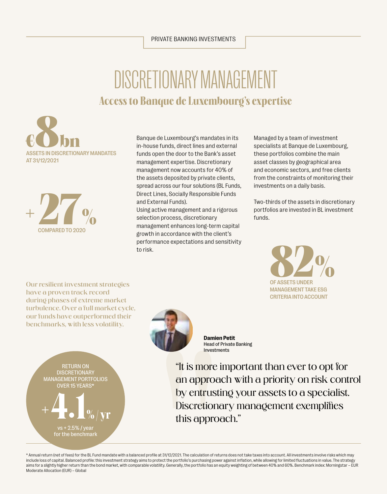#### PRIVATE BANKING INVESTMENTS

### Access to Banque de Luxembourg's expertise DISCRETIONARY MANAGEMENT





Banque de Luxembourg's mandates in its in-house funds, direct lines and external funds open the door to the Bank's asset management expertise. Discretionary management now accounts for 40% of the assets deposited by private clients, spread across our four solutions (BL Funds, Direct Lines, Socially Responsible Funds and External Funds).

Using active management and a rigorous selection process, discretionary management enhances long-term capital growth in accordance with the client's performance expectations and sensitivity to risk.

Managed by a team of investment specialists at Banque de Luxembourg, these portfolios combine the main asset classes by geographical area and economic sectors, and free clients from the constraints of monitoring their investments on a daily basis.

Two-thirds of the assets in discretionary portfolios are invested in BL investment funds.

> OF ASSETS UNDER MANAGEMENT TAKE ESG CRITERIA INTO ACCOUNT **82%**

Our resilient investment strategies have a proven track record during phases of extreme market turbulence. Over a full market cycle, our funds have outperformed their benchmarks, with less volatility.

 $+\leftarrow\bullet$ .

 $+ 2.5\%$  / for the benchmark

RETURN ON **DISCRETIONARY** MANAGEMENT PORTFOLIOS OVER 15 YEARS\*



**Damien Petit** Head of Private Banking Investments

"It is more important than ever to opt for an approach with a priority on risk control by entrusting your assets to a specialist. Discretionary management exemplifies this approach."

\* Annual return (net of fees) for the BL Fund mandate with a balanced profile at 31/12/2021. The calculation of returns does not take taxes into account. All investments involve risks which may include loss of capital. Balanced profile: this investment strategy aims to protect the portfolio's purchasing power against inflation, while allowing for limited fluctuations in value. The strategy aims for a slightly higher return than the bond market, with comparable volatility. Generally, the portfolio has an equity weighting of between 40% and 60%. Benchmark index: Morningstar – EUR Moderate Allocation (EUR) – Global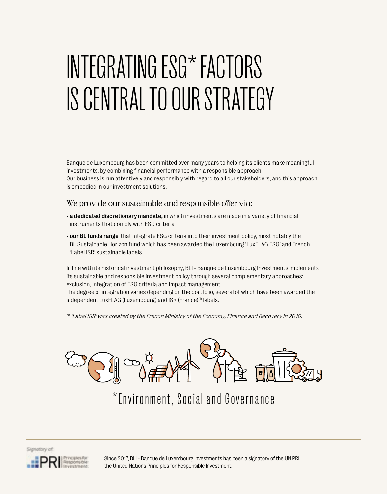# INTEGRATING ESG\* FACTORS IS CENTRAL TO OUR STRATEGY

Banque de Luxembourg has been committed over many years to helping its clients make meaningful investments, by combining financial performance with a responsible approach. Our business is run attentively and responsibly with regard to all our stakeholders, and this approach is embodied in our investment solutions.

#### We provide our sustainable and responsible offer via:

- a dedicated discretionary mandate, in which investments are made in a variety of financial instruments that comply with ESG criteria
- our BL funds range that integrate ESG criteria into their investment policy, most notably the BL Sustainable Horizon fund which has been awarded the Luxembourg 'LuxFLAG ESG' and French 'Label ISR' sustainable labels.

In line with its historical investment philosophy, BLI - Banque de Luxembourg Investments implements its sustainable and responsible investment policy through several complementary approaches: exclusion, integration of ESG criteria and impact management.

The degree of integration varies depending on the portfolio, several of which have been awarded the independent LuxFLAG (Luxembourg) and ISR (France)<sup>(1)</sup> labels.

 $^{\prime\prime}$  'Label ISR' was created by the French Ministry of the Economy, Finance and Recovery in 2016.



\*Environment, Social and Governance



Since 2017, BLI - Banque de Luxembourg Investments has been a signatory of the UN PRI, the United Nations Principles for Responsible Investment.